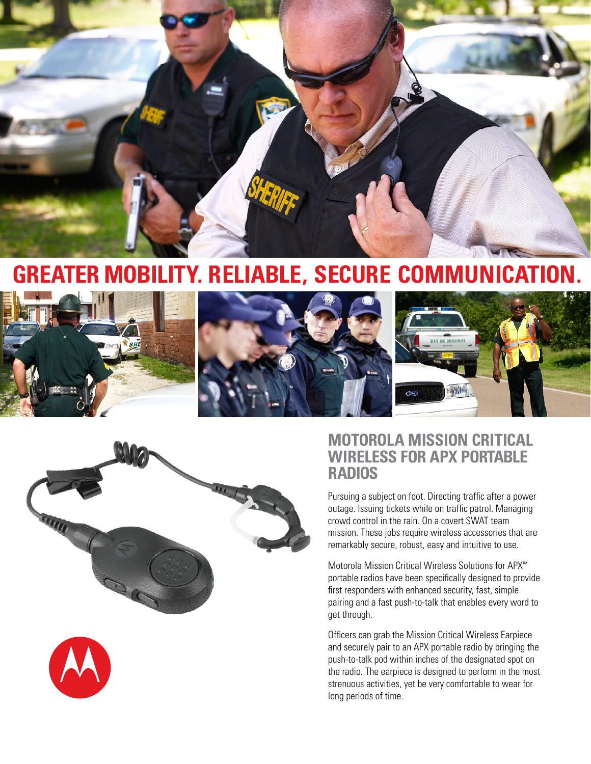

# **GreatER Mobility. RELIABLE, SECURE COMMUNICATION.**







# **Motorola Mission Critical Wireless for APX portable radios**

Pursuing a subject on foot. Directing traffic after a power outage. Issuing tickets while on traffic patrol. Managing crowd control in the rain. On a covert SWAT team mission. These jobs require wireless accessories that are remarkably secure, robust, easy and intuitive to use.

Motorola Mission Critical Wireless Solutions for APX™ portable radios have been specifically designed to provide first responders with enhanced security, fast, simple pairing and a fast push-to-talk that enables every word to get through.

Officers can grab the Mission Critical Wireless Earpiece and securely pair to an APX portable radio by bringing the push-to-talk pod within inches of the designated spot on the radio. The earpiece is designed to perform in the most strenuous activities, yet be very comfortable to wear for long periods of time.